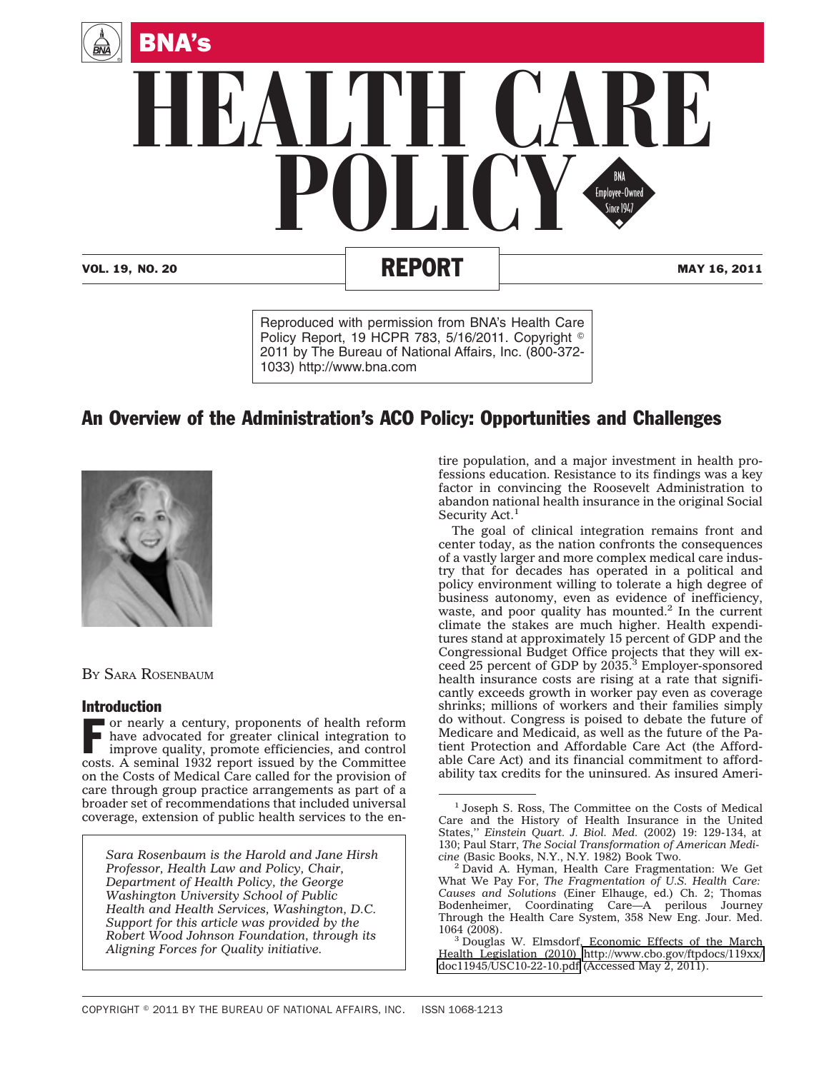

Reproduced with permission from BNA's Health Care Policy Report, 19 HCPR 783, 5/16/2011. Copyright  $^{\circ}$ 2011 by The Bureau of National Affairs, Inc. (800-372- 1033) http://www.bna.com

# An Overview of the Administration's ACO Policy: Opportunities and Challenges



BY SARA ROSENBAUM

# Introduction

 $\blacksquare$  or nearly a century, proponents of health reform have advocated for greater clinical integration to improve quality, promote efficiencies, and control costs. A seminal 1932 report issued by the Committee on the Costs of Medical Care called for the provision of care through group practice arrangements as part of a broader set of recommendations that included universal coverage, extension of public health services to the en-

*Sara Rosenbaum is the Harold and Jane Hirsh Professor, Health Law and Policy, Chair, Department of Health Policy, the George Washington University School of Public Health and Health Services, Washington, D.C. Support for this article was provided by the Robert Wood Johnson Foundation, through its Aligning Forces for Quality initiative.*

tire population, and a major investment in health professions education. Resistance to its findings was a key factor in convincing the Roosevelt Administration to abandon national health insurance in the original Social Security Act.<sup>1</sup>

The goal of clinical integration remains front and center today, as the nation confronts the consequences of a vastly larger and more complex medical care industry that for decades has operated in a political and policy environment willing to tolerate a high degree of business autonomy, even as evidence of inefficiency, waste, and poor quality has mounted.<sup>2</sup> In the current climate the stakes are much higher. Health expenditures stand at approximately 15 percent of GDP and the Congressional Budget Office projects that they will exceed 25 percent of GDP by 2035.<sup>3</sup> Employer-sponsored health insurance costs are rising at a rate that significantly exceeds growth in worker pay even as coverage shrinks; millions of workers and their families simply do without. Congress is poised to debate the future of Medicare and Medicaid, as well as the future of the Patient Protection and Affordable Care Act (the Affordable Care Act) and its financial commitment to affordability tax credits for the uninsured. As insured Ameri-

<sup>&</sup>lt;sup>1</sup> Joseph S. Ross, The Committee on the Costs of Medical Care and the History of Health Insurance in the United States,'' *Einstein Quart. J. Biol. Med.* (2002) 19: 129-134, at 130; Paul Starr, *The Social Transformation of American Medicine* (Basic Books, N.Y., N.Y. 1982) Book Two. <sup>2</sup> David A. Hyman, Health Care Fragmentation: We Get

What We Pay For, *The Fragmentation of U.S. Health Care: Causes and Solutions* (Einer Elhauge, ed.) Ch. 2; Thomas Bodenheimer, Coordinating Care—A perilous Journey Through the Health Care System, 358 New Eng. Jour. Med.

<sup>1064 (2008).</sup> <sup>3</sup> Douglas W. Elmsdorf, Economic Effects of the March Health Legislation (2010) [http://www.cbo.gov/ftpdocs/119xx/](http://www.cbo.gov/ftpdocs/119xx/doc11945/USC10-22-10.pdf) [doc11945/USC10-22-10.pdf](http://www.cbo.gov/ftpdocs/119xx/doc11945/USC10-22-10.pdf) (Accessed May 2, 2011).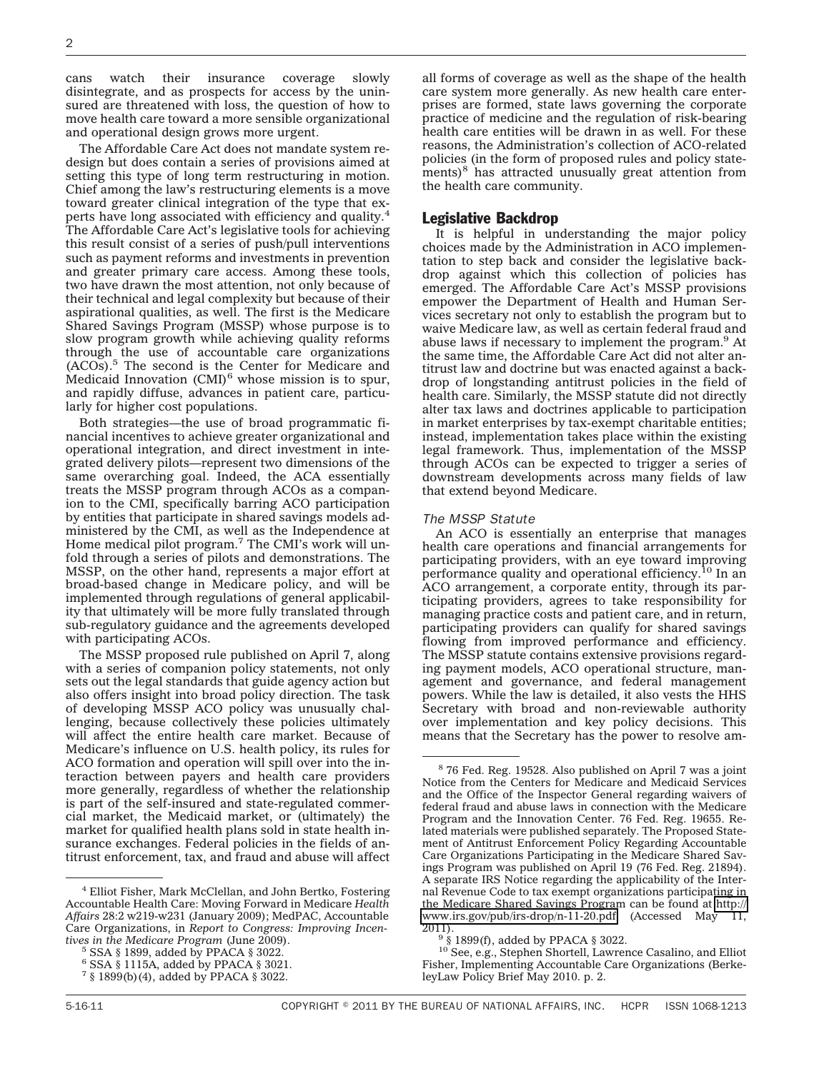cans watch their insurance coverage slowly disintegrate, and as prospects for access by the uninsured are threatened with loss, the question of how to move health care toward a more sensible organizational and operational design grows more urgent.

The Affordable Care Act does not mandate system redesign but does contain a series of provisions aimed at setting this type of long term restructuring in motion. Chief among the law's restructuring elements is a move toward greater clinical integration of the type that experts have long associated with efficiency and quality.4 The Affordable Care Act's legislative tools for achieving this result consist of a series of push/pull interventions such as payment reforms and investments in prevention and greater primary care access. Among these tools, two have drawn the most attention, not only because of their technical and legal complexity but because of their aspirational qualities, as well. The first is the Medicare Shared Savings Program (MSSP) whose purpose is to slow program growth while achieving quality reforms through the use of accountable care organizations (ACOs).5 The second is the Center for Medicare and Medicaid Innovation (CMI)<sup>6</sup> whose mission is to spur, and rapidly diffuse, advances in patient care, particularly for higher cost populations.

Both strategies—the use of broad programmatic financial incentives to achieve greater organizational and operational integration, and direct investment in integrated delivery pilots—represent two dimensions of the same overarching goal. Indeed, the ACA essentially treats the MSSP program through ACOs as a companion to the CMI, specifically barring ACO participation by entities that participate in shared savings models administered by the CMI, as well as the Independence at Home medical pilot program.<sup>7</sup> The CMI's work will unfold through a series of pilots and demonstrations. The MSSP, on the other hand, represents a major effort at broad-based change in Medicare policy, and will be implemented through regulations of general applicability that ultimately will be more fully translated through sub-regulatory guidance and the agreements developed with participating ACOs.

The MSSP proposed rule published on April 7, along with a series of companion policy statements, not only sets out the legal standards that guide agency action but also offers insight into broad policy direction. The task of developing MSSP ACO policy was unusually challenging, because collectively these policies ultimately will affect the entire health care market. Because of Medicare's influence on U.S. health policy, its rules for ACO formation and operation will spill over into the interaction between payers and health care providers more generally, regardless of whether the relationship is part of the self-insured and state-regulated commercial market, the Medicaid market, or (ultimately) the market for qualified health plans sold in state health insurance exchanges. Federal policies in the fields of antitrust enforcement, tax, and fraud and abuse will affect

all forms of coverage as well as the shape of the health care system more generally. As new health care enterprises are formed, state laws governing the corporate practice of medicine and the regulation of risk-bearing health care entities will be drawn in as well. For these reasons, the Administration's collection of ACO-related policies (in the form of proposed rules and policy statements) $8$  has attracted unusually great attention from the health care community.

### Legislative Backdrop

It is helpful in understanding the major policy choices made by the Administration in ACO implementation to step back and consider the legislative backdrop against which this collection of policies has emerged. The Affordable Care Act's MSSP provisions empower the Department of Health and Human Services secretary not only to establish the program but to waive Medicare law, as well as certain federal fraud and abuse laws if necessary to implement the program.<sup>9</sup> At the same time, the Affordable Care Act did not alter antitrust law and doctrine but was enacted against a backdrop of longstanding antitrust policies in the field of health care. Similarly, the MSSP statute did not directly alter tax laws and doctrines applicable to participation in market enterprises by tax-exempt charitable entities; instead, implementation takes place within the existing legal framework. Thus, implementation of the MSSP through ACOs can be expected to trigger a series of downstream developments across many fields of law that extend beyond Medicare.

#### *The MSSP Statute*

An ACO is essentially an enterprise that manages health care operations and financial arrangements for participating providers, with an eye toward improving performance quality and operational efficiency.<sup>10</sup> In an ACO arrangement, a corporate entity, through its participating providers, agrees to take responsibility for managing practice costs and patient care, and in return, participating providers can qualify for shared savings flowing from improved performance and efficiency. The MSSP statute contains extensive provisions regarding payment models, ACO operational structure, management and governance, and federal management powers. While the law is detailed, it also vests the HHS Secretary with broad and non-reviewable authority over implementation and key policy decisions. This means that the Secretary has the power to resolve am-

<sup>4</sup> Elliot Fisher, Mark McClellan, and John Bertko, Fostering Accountable Health Care: Moving Forward in Medicare *Health Affairs* 28:2 w219-w231 (January 2009); MedPAC, Accountable Care Organizations, in *Report to Congress: Improving Incen-*

*tives in the Medicare Program* (June 2009). <sup>5</sup> SSA § 1899, added by PPACA § 3022.

 $^6$  SSA  $\mathcal \S$  1115A, added by PPACA  $\mathcal \S$  3021.

<sup>7</sup> § 1899(b)(4), added by PPACA § 3022.

<sup>8</sup> 76 Fed. Reg. 19528. Also published on April 7 was a joint Notice from the Centers for Medicare and Medicaid Services and the Office of the Inspector General regarding waivers of federal fraud and abuse laws in connection with the Medicare Program and the Innovation Center. 76 Fed. Reg. 19655. Related materials were published separately. The Proposed Statement of Antitrust Enforcement Policy Regarding Accountable Care Organizations Participating in the Medicare Shared Savings Program was published on April 19 (76 Fed. Reg. 21894). A separate IRS Notice regarding the applicability of the Internal Revenue Code to tax exempt organizations participating in the Medicare Shared Savings Program can be found at [http://](http://www.irs.gov/pub/irs-drop/n-11-20.pdf) [www.irs.gov/pub/irs-drop/n-11-20.pdf](http://www.irs.gov/pub/irs-drop/n-11-20.pdf) (Accessed May 11, 2011).

 $9\frac{6}{8}$  1899(f), added by PPACA § 3022.

<sup>10</sup> See, e.g., Stephen Shortell, Lawrence Casalino, and Elliot Fisher, Implementing Accountable Care Organizations (BerkeleyLaw Policy Brief May 2010. p. 2.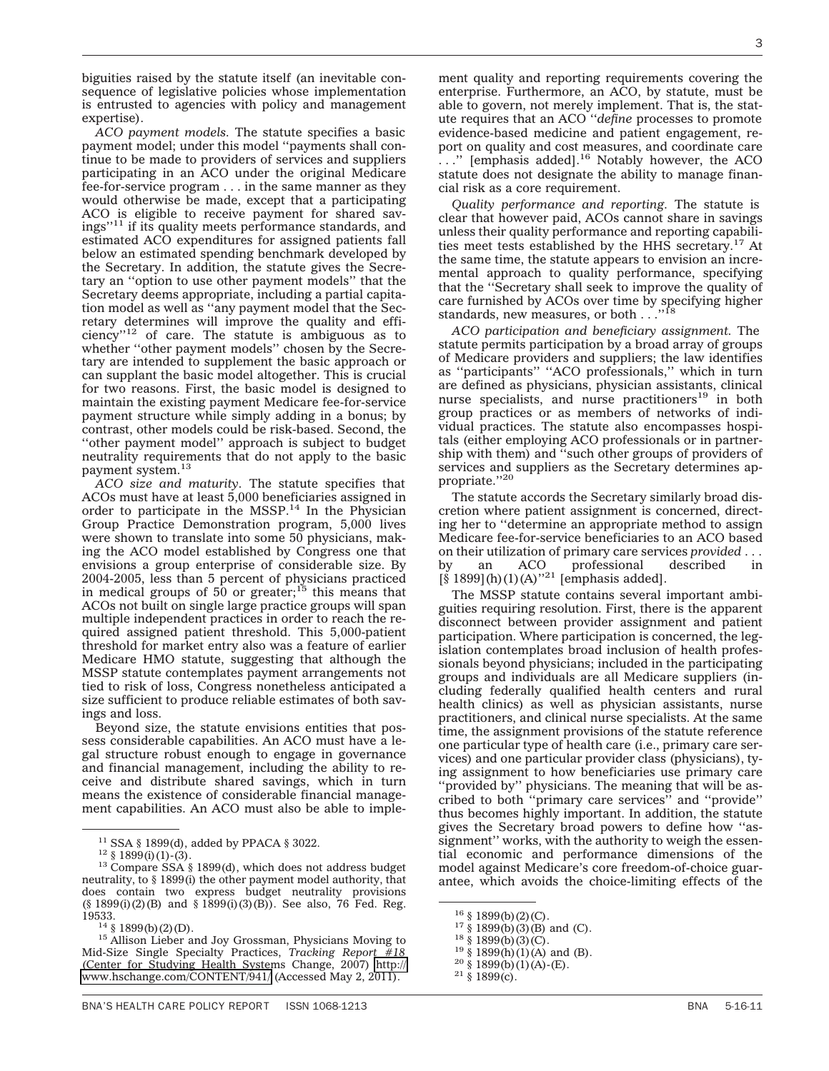biguities raised by the statute itself (an inevitable consequence of legislative policies whose implementation is entrusted to agencies with policy and management expertise).

*ACO payment models.* The statute specifies a basic payment model; under this model ''payments shall continue to be made to providers of services and suppliers participating in an ACO under the original Medicare fee-for-service program . . . in the same manner as they would otherwise be made, except that a participating ACO is eligible to receive payment for shared savings''11 if its quality meets performance standards, and estimated ACO expenditures for assigned patients fall below an estimated spending benchmark developed by the Secretary. In addition, the statute gives the Secretary an ''option to use other payment models'' that the Secretary deems appropriate, including a partial capitation model as well as ''any payment model that the Secretary determines will improve the quality and effi $ciency$ <sup>12</sup> of care. The statute is ambiguous as to whether "other payment models" chosen by the Secretary are intended to supplement the basic approach or can supplant the basic model altogether. This is crucial for two reasons. First, the basic model is designed to maintain the existing payment Medicare fee-for-service payment structure while simply adding in a bonus; by contrast, other models could be risk-based. Second, the ''other payment model'' approach is subject to budget neutrality requirements that do not apply to the basic payment system.<sup>13</sup>

*ACO size and maturity.* The statute specifies that ACOs must have at least 5,000 beneficiaries assigned in order to participate in the  $MSSP<sup>14</sup>$  In the Physician Group Practice Demonstration program, 5,000 lives were shown to translate into some 50 physicians, making the ACO model established by Congress one that envisions a group enterprise of considerable size. By 2004-2005, less than 5 percent of physicians practiced in medical groups of 50 or greater;15 this means that ACOs not built on single large practice groups will span multiple independent practices in order to reach the required assigned patient threshold. This 5,000-patient threshold for market entry also was a feature of earlier Medicare HMO statute, suggesting that although the MSSP statute contemplates payment arrangements not tied to risk of loss, Congress nonetheless anticipated a size sufficient to produce reliable estimates of both savings and loss.

Beyond size, the statute envisions entities that possess considerable capabilities. An ACO must have a legal structure robust enough to engage in governance and financial management, including the ability to receive and distribute shared savings, which in turn means the existence of considerable financial management capabilities. An ACO must also be able to imple-

ment quality and reporting requirements covering the enterprise. Furthermore, an ACO, by statute, must be able to govern, not merely implement. That is, the statute requires that an ACO ''*define* processes to promote evidence-based medicine and patient engagement, report on quality and cost measures, and coordinate care  $\ldots$ " [emphasis added].<sup>16</sup> Notably however, the ACO statute does not designate the ability to manage financial risk as a core requirement.

*Quality performance and reporting.* The statute is clear that however paid, ACOs cannot share in savings unless their quality performance and reporting capabilities meet tests established by the HHS secretary.<sup>17</sup> At the same time, the statute appears to envision an incremental approach to quality performance, specifying that the ''Secretary shall seek to improve the quality of care furnished by ACOs over time by specifying higher standards, new measures, or both . . .

*ACO participation and beneficiary assignment.* The statute permits participation by a broad array of groups of Medicare providers and suppliers; the law identifies as ''participants'' ''ACO professionals,'' which in turn are defined as physicians, physician assistants, clinical nurse specialists, and nurse practitioners<sup>19</sup> in both group practices or as members of networks of individual practices. The statute also encompasses hospitals (either employing ACO professionals or in partnership with them) and ''such other groups of providers of services and suppliers as the Secretary determines appropriate."20

The statute accords the Secretary similarly broad discretion where patient assignment is concerned, directing her to ''determine an appropriate method to assign Medicare fee-for-service beneficiaries to an ACO based on their utilization of primary care services *provided* ... by an ACO professional described in  $[\S 1899](h)(1)(A)^{321}$  [emphasis added].

The MSSP statute contains several important ambiguities requiring resolution. First, there is the apparent disconnect between provider assignment and patient participation. Where participation is concerned, the legislation contemplates broad inclusion of health professionals beyond physicians; included in the participating groups and individuals are all Medicare suppliers (including federally qualified health centers and rural health clinics) as well as physician assistants, nurse practitioners, and clinical nurse specialists. At the same time, the assignment provisions of the statute reference one particular type of health care (i.e., primary care services) and one particular provider class (physicians), tying assignment to how beneficiaries use primary care ''provided by'' physicians. The meaning that will be ascribed to both ''primary care services'' and ''provide'' thus becomes highly important. In addition, the statute gives the Secretary broad powers to define how ''assignment'' works, with the authority to weigh the essential economic and performance dimensions of the model against Medicare's core freedom-of-choice guarantee, which avoids the choice-limiting effects of the

<sup>&</sup>lt;sup>11</sup> SSA § 1899(d), added by PPACA § 3022.<br><sup>12</sup> § 1899(i)(1)-(3).<br><sup>13</sup> Compare SSA § 1899(d), which does not address budget neutrality, to § 1899(i) the other payment model authority, that does contain two express budget neutrality provisions  $(\S 1899(i)(2)(B)$  and  $\S 1899(i)(3)(B)$ . See also, 76 Fed. Reg. 19533.

<sup>&</sup>lt;sup>14</sup> § 1899(b)(2)(D).<br><sup>15</sup> Allison Lieber and Joy Grossman, Physicians Moving to Mid-Size Single Specialty Practices, *Tracking Report #18* (Center for Studying Health Systems Change, 2007) [http://](http://www.hschange.com/CONTENT/941/) [www.hschange.com/CONTENT/941/](http://www.hschange.com/CONTENT/941/) (Accessed May 2, 2011).

<sup>&</sup>lt;sup>16</sup> § 1899(b)(2)(C).<br><sup>17</sup> § 1899(b)(3)(B) and (C).<br><sup>18</sup> § 1899(b)(3)(C).<br><sup>19</sup> § 1899(h)(1)(A) and (B).<br><sup>20</sup> § 1899(b)(1)(A)-(E).<br><sup>21</sup> § 1899(c).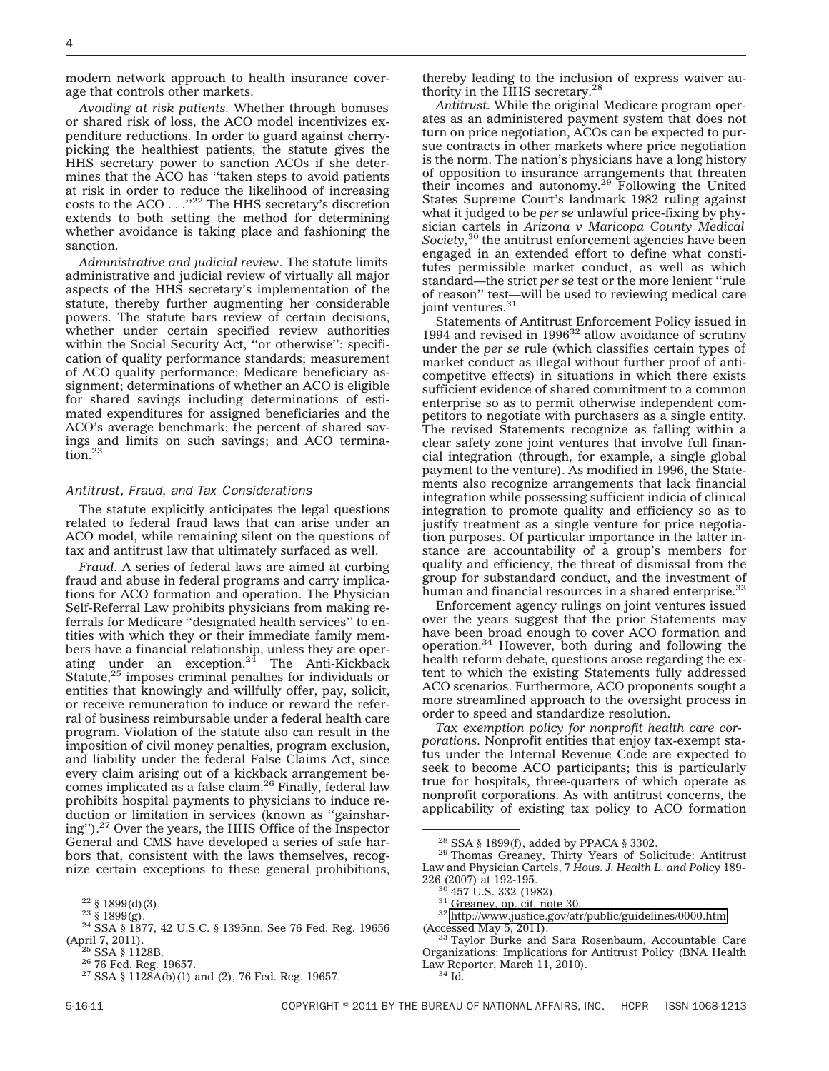modern network approach to health insurance coverage that controls other markets.

*Avoiding at risk patients.* Whether through bonuses or shared risk of loss, the ACO model incentivizes expenditure reductions. In order to guard against cherrypicking the healthiest patients, the statute gives the HHS secretary power to sanction ACOs if she determines that the ACO has ''taken steps to avoid patients at risk in order to reduce the likelihood of increasing costs to the ACO . . .''22 The HHS secretary's discretion extends to both setting the method for determining whether avoidance is taking place and fashioning the sanction.

*Administrative and judicial review*. The statute limits administrative and judicial review of virtually all major aspects of the HHS secretary's implementation of the statute, thereby further augmenting her considerable powers. The statute bars review of certain decisions, whether under certain specified review authorities within the Social Security Act, ''or otherwise'': specification of quality performance standards; measurement of ACO quality performance; Medicare beneficiary assignment; determinations of whether an ACO is eligible for shared savings including determinations of estimated expenditures for assigned beneficiaries and the ACO's average benchmark; the percent of shared savings and limits on such savings; and ACO termination.23

#### *Antitrust, Fraud, and Tax Considerations*

The statute explicitly anticipates the legal questions related to federal fraud laws that can arise under an ACO model, while remaining silent on the questions of tax and antitrust law that ultimately surfaced as well.

*Fraud.* A series of federal laws are aimed at curbing fraud and abuse in federal programs and carry implications for ACO formation and operation. The Physician Self-Referral Law prohibits physicians from making referrals for Medicare ''designated health services'' to entities with which they or their immediate family members have a financial relationship, unless they are oper-ating under an exception.24 The Anti-Kickback Statute,<sup>25</sup> imposes criminal penalties for individuals or entities that knowingly and willfully offer, pay, solicit, or receive remuneration to induce or reward the referral of business reimbursable under a federal health care program. Violation of the statute also can result in the imposition of civil money penalties, program exclusion, and liability under the federal False Claims Act, since every claim arising out of a kickback arrangement becomes implicated as a false claim.<sup>26</sup> Finally, federal law prohibits hospital payments to physicians to induce reduction or limitation in services (known as ''gainsharing'').<sup>27</sup> Over the years, the HHS Office of the Inspector General and CMS have developed a series of safe harbors that, consistent with the laws themselves, recognize certain exceptions to these general prohibitions,

thereby leading to the inclusion of express waiver authority in the HHS secretary.28

*Antitrust.* While the original Medicare program operates as an administered payment system that does not turn on price negotiation, ACOs can be expected to pursue contracts in other markets where price negotiation is the norm. The nation's physicians have a long history of opposition to insurance arrangements that threaten their incomes and autonomy.29 Following the United States Supreme Court's landmark 1982 ruling against what it judged to be *per se* unlawful price-fixing by physician cartels in *Arizona v Maricopa County Medical Society,*<sup>30</sup> the antitrust enforcement agencies have been engaged in an extended effort to define what constitutes permissible market conduct, as well as which standard—the strict *per se* test or the more lenient ''rule of reason'' test—will be used to reviewing medical care joint ventures.<sup>31</sup>

Statements of Antitrust Enforcement Policy issued in 1994 and revised in  $1996^{32}$  allow avoidance of scrutiny under the *per se* rule (which classifies certain types of market conduct as illegal without further proof of anticompetitve effects) in situations in which there exists sufficient evidence of shared commitment to a common enterprise so as to permit otherwise independent competitors to negotiate with purchasers as a single entity. The revised Statements recognize as falling within a clear safety zone joint ventures that involve full financial integration (through, for example, a single global payment to the venture). As modified in 1996, the Statements also recognize arrangements that lack financial integration while possessing sufficient indicia of clinical integration to promote quality and efficiency so as to justify treatment as a single venture for price negotiation purposes. Of particular importance in the latter instance are accountability of a group's members for quality and efficiency, the threat of dismissal from the group for substandard conduct, and the investment of human and financial resources in a shared enterprise.<sup>33</sup>

Enforcement agency rulings on joint ventures issued over the years suggest that the prior Statements may have been broad enough to cover ACO formation and operation.34 However, both during and following the health reform debate, questions arose regarding the extent to which the existing Statements fully addressed ACO scenarios. Furthermore, ACO proponents sought a more streamlined approach to the oversight process in order to speed and standardize resolution.

*Tax exemption policy for nonprofit health care corporations.* Nonprofit entities that enjoy tax-exempt status under the Internal Revenue Code are expected to seek to become ACO participants; this is particularly true for hospitals, three-quarters of which operate as nonprofit corporations. As with antitrust concerns, the applicability of existing tax policy to ACO formation

- 
- <sup>30</sup> 457 U.S. 332 (1982).<br><sup>31</sup> Greaney, op. cit. note 30.<br><sup>32</sup> <http://www.justice.gov/atr/public/guidelines/0000.htm><br>(Accessed May 5, 2011).

 $^{22}$  § 1899(d)(3).<br> $^{23}$ § 1899(g).<br><sup>24</sup> SSA § 1877, 42 U.S.C. § 1395nn. See 76 Fed. Reg. 19656 (April 7, 2011).<br>
<sup>25</sup> SSA § 1128B.<br>
<sup>26</sup> 76 Fed. Reg. 19657.<br>
<sup>27</sup> SSA § 1128A(b)(1) and (2), 76 Fed. Reg. 19657.

<sup>&</sup>lt;sup>28</sup> SSA § 1899(f), added by PPACA § 3302.<br><sup>29</sup> Thomas Greaney, Thirty Years of Solicitude: Antitrust Law and Physician Cartels, 7 *Hous. J. Health L. and Policy* 189-

<sup>33</sup> Taylor Burke and Sara Rosenbaum, Accountable Care Organizations: Implications for Antitrust Policy (BNA Health Law Reporter, March 11, 2010).<br><sup>34</sup> Id.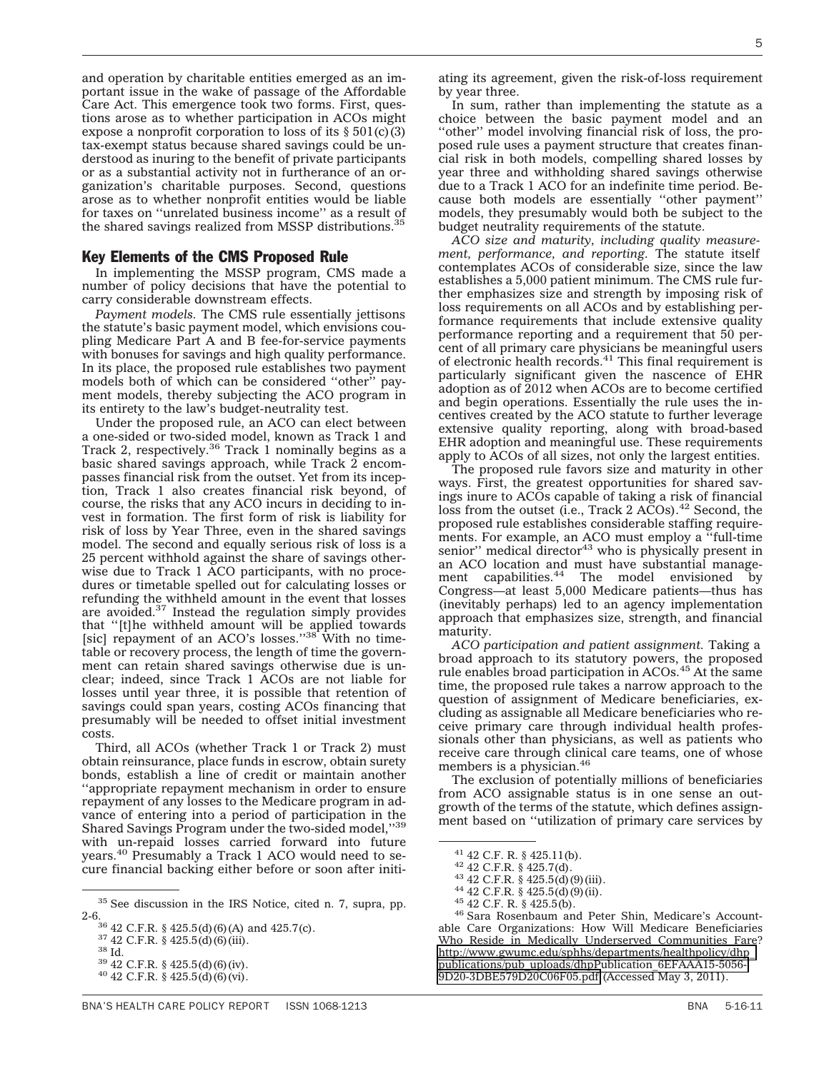and operation by charitable entities emerged as an important issue in the wake of passage of the Affordable Care Act. This emergence took two forms. First, questions arose as to whether participation in ACOs might expose a nonprofit corporation to loss of its  $\S 501(c)(3)$ tax-exempt status because shared savings could be understood as inuring to the benefit of private participants or as a substantial activity not in furtherance of an organization's charitable purposes. Second, questions arose as to whether nonprofit entities would be liable for taxes on ''unrelated business income'' as a result of the shared savings realized from MSSP distributions.<sup>35</sup>

### Key Elements of the CMS Proposed Rule

In implementing the MSSP program, CMS made a number of policy decisions that have the potential to carry considerable downstream effects.

*Payment models.* The CMS rule essentially jettisons the statute's basic payment model, which envisions coupling Medicare Part A and B fee-for-service payments with bonuses for savings and high quality performance. In its place, the proposed rule establishes two payment models both of which can be considered ''other'' payment models, thereby subjecting the ACO program in its entirety to the law's budget-neutrality test.

Under the proposed rule, an ACO can elect between a one-sided or two-sided model, known as Track 1 and Track 2, respectively.36 Track 1 nominally begins as a basic shared savings approach, while Track 2 encompasses financial risk from the outset. Yet from its inception, Track 1 also creates financial risk beyond, of course, the risks that any ACO incurs in deciding to invest in formation. The first form of risk is liability for risk of loss by Year Three, even in the shared savings model. The second and equally serious risk of loss is a 25 percent withhold against the share of savings otherwise due to Track 1 ACO participants, with no procedures or timetable spelled out for calculating losses or refunding the withheld amount in the event that losses are avoided.37 Instead the regulation simply provides that "[t]he withheld amount will be applied towards<br>[sic] repayment of an ACO's losses.''<sup>38</sup> With no timetable or recovery process, the length of time the government can retain shared savings otherwise due is unclear; indeed, since Track 1 ACOs are not liable for losses until year three, it is possible that retention of savings could span years, costing ACOs financing that presumably will be needed to offset initial investment costs.

Third, all ACOs (whether Track 1 or Track 2) must obtain reinsurance, place funds in escrow, obtain surety bonds, establish a line of credit or maintain another ''appropriate repayment mechanism in order to ensure repayment of any losses to the Medicare program in advance of entering into a period of participation in the Shared Savings Program under the two-sided model,''39 with un-repaid losses carried forward into future years.40 Presumably a Track 1 ACO would need to secure financial backing either before or soon after initi-

ating its agreement, given the risk-of-loss requirement by year three.

In sum, rather than implementing the statute as a choice between the basic payment model and an ''other'' model involving financial risk of loss, the proposed rule uses a payment structure that creates financial risk in both models, compelling shared losses by year three and withholding shared savings otherwise due to a Track 1 ACO for an indefinite time period. Because both models are essentially ''other payment'' models, they presumably would both be subject to the budget neutrality requirements of the statute.

*ACO size and maturity, including quality measurement, performance, and reporting.* The statute itself contemplates ACOs of considerable size, since the law establishes a 5,000 patient minimum. The CMS rule further emphasizes size and strength by imposing risk of loss requirements on all ACOs and by establishing performance requirements that include extensive quality performance reporting and a requirement that 50 percent of all primary care physicians be meaningful users of electronic health records.<sup>41</sup> This final requirement is particularly significant given the nascence of EHR adoption as of 2012 when ACOs are to become certified and begin operations. Essentially the rule uses the incentives created by the ACO statute to further leverage extensive quality reporting, along with broad-based EHR adoption and meaningful use. These requirements apply to ACOs of all sizes, not only the largest entities.

The proposed rule favors size and maturity in other ways. First, the greatest opportunities for shared savings inure to ACOs capable of taking a risk of financial loss from the outset (i.e., Track 2  $\widetilde{AC}$ Os).<sup>42</sup> Second, the proposed rule establishes considerable staffing requirements. For example, an ACO must employ a ''full-time senior" medical director $43$  who is physically present in an ACO location and must have substantial manage-ment capabilities.44 The model envisioned by Congress—at least 5,000 Medicare patients—thus has (inevitably perhaps) led to an agency implementation approach that emphasizes size, strength, and financial maturity.

*ACO participation and patient assignment.* Taking a broad approach to its statutory powers, the proposed rule enables broad participation in ACOs.<sup>45</sup> At the same time, the proposed rule takes a narrow approach to the question of assignment of Medicare beneficiaries, excluding as assignable all Medicare beneficiaries who receive primary care through individual health professionals other than physicians, as well as patients who receive care through clinical care teams, one of whose members is a physician.<sup>46</sup>

The exclusion of potentially millions of beneficiaries from ACO assignable status is in one sense an outgrowth of the terms of the statute, which defines assignment based on ''utilization of primary care services by

<sup>41</sup> 42 C.F. R. § 425.11(b).<br><sup>42</sup> 42 C.F.R. § 425.7(d).<br><sup>43</sup> 42 C.F.R. § 425.5(d)(9)(iii).<br><sup>44</sup> 42 C.F.R. § 425.5(d)(9)(ii).<br><sup>45</sup> 42 C.F. R. § 425.5(b).<br><sup>46</sup> Sara Rosenbaum and Peter Shin, Medicare's Accountable Care Organizations: How Will Medicare Beneficiaries Who Reside in Medically Underserved Communities Fare? [http://www.gwumc.edu/sphhs/departments/healthpolicy/dhp\\_](http://www.gwumc.edu/sphhs/departments/healthpolicy/dhp_publications/pub_uploads/dhpPublication_6EFAAA15-5056-9D20-3DBE579D20C06F05.pdf) [publications/pub\\_uploads/dhpPublication\\_6EFAAA15-5056-](http://www.gwumc.edu/sphhs/departments/healthpolicy/dhp_publications/pub_uploads/dhpPublication_6EFAAA15-5056-9D20-3DBE579D20C06F05.pdf) [9D20-3DBE579D20C06F05.pdf](http://www.gwumc.edu/sphhs/departments/healthpolicy/dhp_publications/pub_uploads/dhpPublication_6EFAAA15-5056-9D20-3DBE579D20C06F05.pdf) (Accessed May 3, 2011).

<sup>35</sup> See discussion in the IRS Notice, cited n. 7, supra, pp. 2-6.<br><sup>36</sup> 42 C.F.R. § 425.5(d)(6)(A) and 425.7(c).<br><sup>37</sup> 42 C.F.R. § 425.5(d)(6)(iii).<br><sup>38</sup> 42 C.F.R. § 425.5(d)(6)(iv).<br><sup>40</sup> 42 C.F.R. § 425.5(d)(6)(vi).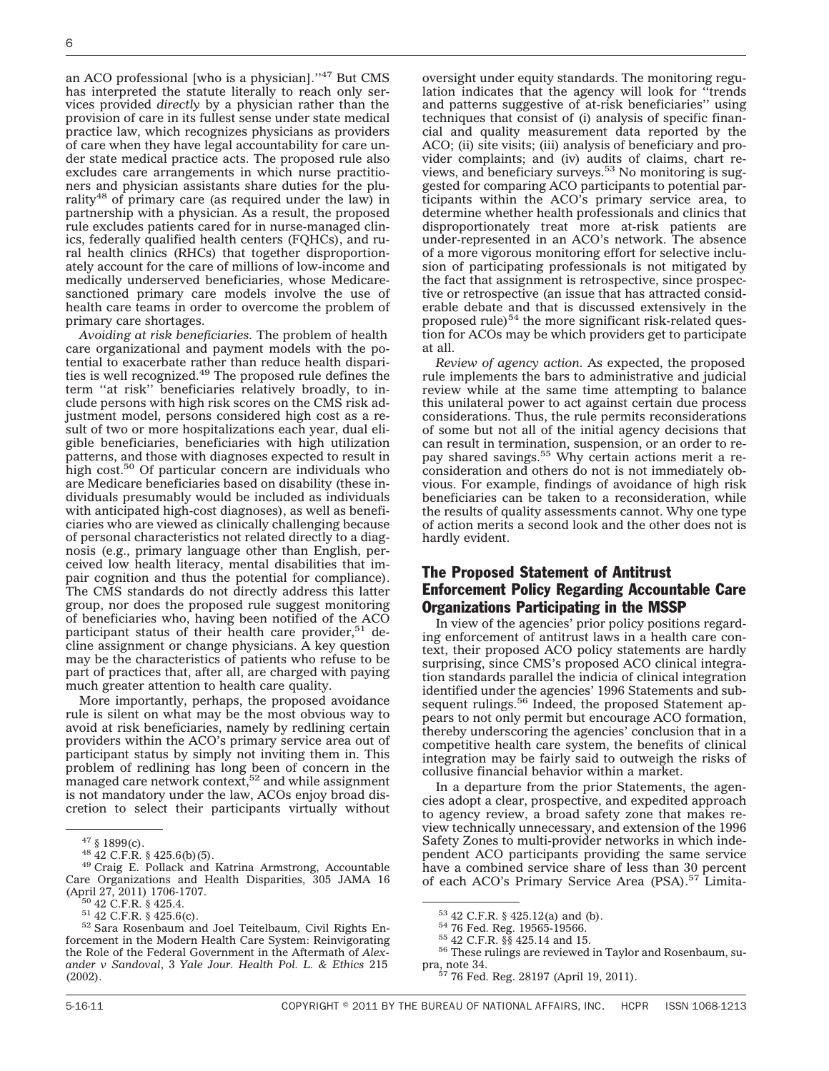an ACO professional [who is a physician].''47 But CMS has interpreted the statute literally to reach only services provided *directly* by a physician rather than the provision of care in its fullest sense under state medical practice law, which recognizes physicians as providers of care when they have legal accountability for care under state medical practice acts. The proposed rule also excludes care arrangements in which nurse practitioners and physician assistants share duties for the plurality<sup>48</sup> of primary care (as required under the law) in partnership with a physician. As a result, the proposed rule excludes patients cared for in nurse-managed clinics, federally qualified health centers (FQHCs), and rural health clinics (RHCs) that together disproportionately account for the care of millions of low-income and medically underserved beneficiaries, whose Medicaresanctioned primary care models involve the use of health care teams in order to overcome the problem of primary care shortages.

*Avoiding at risk beneficiaries.* The problem of health care organizational and payment models with the potential to exacerbate rather than reduce health disparities is well recognized.<sup>49</sup> The proposed rule defines the term ''at risk'' beneficiaries relatively broadly, to include persons with high risk scores on the CMS risk adjustment model, persons considered high cost as a result of two or more hospitalizations each year, dual eligible beneficiaries, beneficiaries with high utilization patterns, and those with diagnoses expected to result in high cost.50 Of particular concern are individuals who are Medicare beneficiaries based on disability (these individuals presumably would be included as individuals with anticipated high-cost diagnoses), as well as beneficiaries who are viewed as clinically challenging because of personal characteristics not related directly to a diagnosis (e.g., primary language other than English, perceived low health literacy, mental disabilities that impair cognition and thus the potential for compliance). The CMS standards do not directly address this latter group, nor does the proposed rule suggest monitoring of beneficiaries who, having been notified of the ACO participant status of their health care provider, $51$  decline assignment or change physicians. A key question may be the characteristics of patients who refuse to be part of practices that, after all, are charged with paying much greater attention to health care quality.

More importantly, perhaps, the proposed avoidance rule is silent on what may be the most obvious way to avoid at risk beneficiaries, namely by redlining certain providers within the ACO's primary service area out of participant status by simply not inviting them in. This problem of redlining has long been of concern in the managed care network context,  $52$  and while assignment is not mandatory under the law, ACOs enjoy broad discretion to select their participants virtually without

oversight under equity standards. The monitoring regulation indicates that the agency will look for ''trends and patterns suggestive of at-risk beneficiaries'' using techniques that consist of (i) analysis of specific financial and quality measurement data reported by the ACO; (ii) site visits; (iii) analysis of beneficiary and provider complaints; and (iv) audits of claims, chart reviews, and beneficiary surveys.<sup>53</sup> No monitoring is suggested for comparing ACO participants to potential participants within the ACO's primary service area, to determine whether health professionals and clinics that disproportionately treat more at-risk patients are under-represented in an ACO's network. The absence of a more vigorous monitoring effort for selective inclusion of participating professionals is not mitigated by the fact that assignment is retrospective, since prospective or retrospective (an issue that has attracted considerable debate and that is discussed extensively in the proposed rule) $54$  the more significant risk-related question for ACOs may be which providers get to participate at all.

*Review of agency action.* As expected, the proposed rule implements the bars to administrative and judicial review while at the same time attempting to balance this unilateral power to act against certain due process considerations. Thus, the rule permits reconsiderations of some but not all of the initial agency decisions that can result in termination, suspension, or an order to repay shared savings.<sup>55</sup> Why certain actions merit a reconsideration and others do not is not immediately obvious. For example, findings of avoidance of high risk beneficiaries can be taken to a reconsideration, while the results of quality assessments cannot. Why one type of action merits a second look and the other does not is hardly evident.

# The Proposed Statement of Antitrust Enforcement Policy Regarding Accountable Care Organizations Participating in the MSSP

In view of the agencies' prior policy positions regarding enforcement of antitrust laws in a health care context, their proposed ACO policy statements are hardly surprising, since CMS's proposed ACO clinical integration standards parallel the indicia of clinical integration identified under the agencies' 1996 Statements and subsequent rulings.<sup>56</sup> Indeed, the proposed Statement appears to not only permit but encourage ACO formation, thereby underscoring the agencies' conclusion that in a competitive health care system, the benefits of clinical integration may be fairly said to outweigh the risks of collusive financial behavior within a market.

In a departure from the prior Statements, the agencies adopt a clear, prospective, and expedited approach to agency review, a broad safety zone that makes review technically unnecessary, and extension of the 1996 Safety Zones to multi-provider networks in which independent ACO participants providing the same service have a combined service share of less than 30 percent of each ACO's Primary Service Area (PSA).<sup>57</sup> Limita-

<sup>&</sup>lt;sup>47</sup> § 1899(c).<br><sup>48</sup> 42 C.F.R. § 425.6(b)(5).<br><sup>49</sup> Craig E. Pollack and Katrina Armstrong, Accountable Care Organizations and Health Disparities, 305 JAMA 16<br>(April 27, 2011) 1706-1707.<br> $\frac{50}{12}$  42 C.F.R. § 425.4.

 $5142$  C.F.R. § 425.6(c).<br> $52$  Sara Rosenbaum and Joel Teitelbaum, Civil Rights Enforcement in the Modern Health Care System: Reinvigorating the Role of the Federal Government in the Aftermath of *Alexander v Sandoval*, 3 *Yale Jour. Health Pol. L. & Ethics* 215 (2002).

<sup>&</sup>lt;sup>53</sup> 42 C.F.R. § 425.12(a) and (b).<br><sup>54</sup> 76 Fed. Reg. 19565-19566.<br><sup>55</sup> 42 C.F.R. §§ 425.14 and 15.<br><sup>56</sup> These rulings are reviewed in Taylor and Rosenbaum, supra, note 34. <sup>57</sup> 76 Fed. Reg. 28197 (April 19, 2011).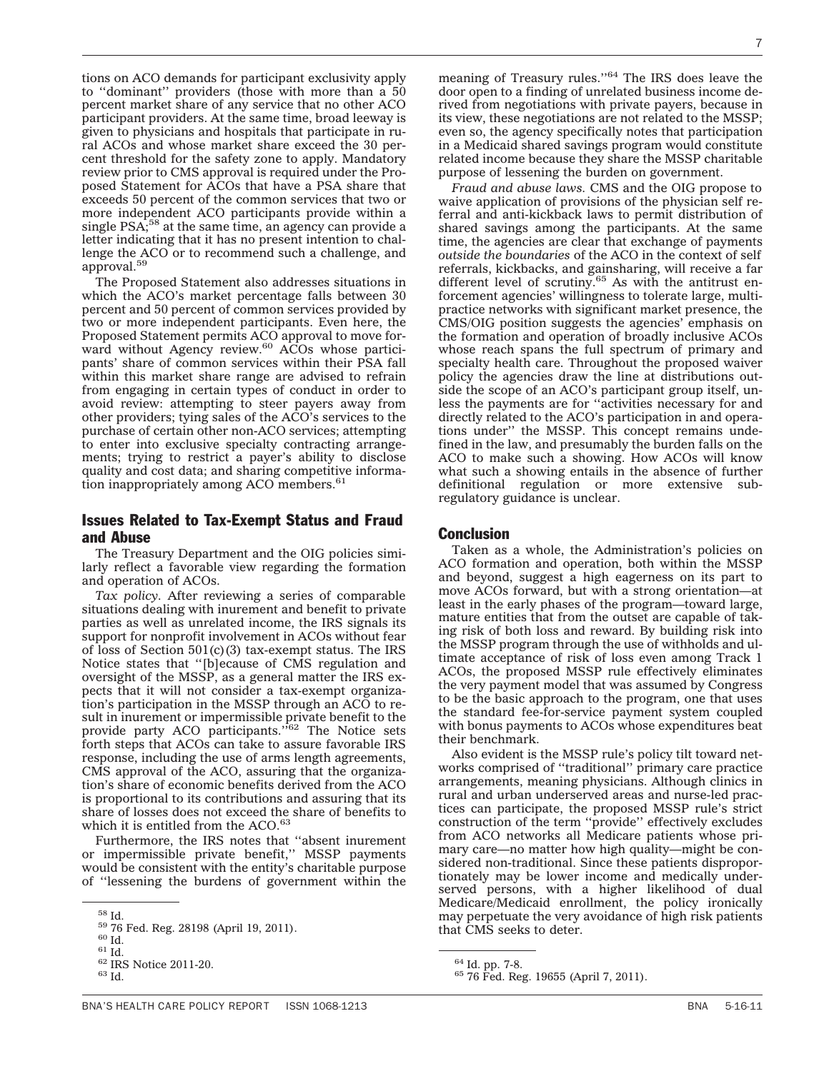tions on ACO demands for participant exclusivity apply to ''dominant'' providers (those with more than a 50 percent market share of any service that no other ACO participant providers. At the same time, broad leeway is given to physicians and hospitals that participate in rural ACOs and whose market share exceed the 30 percent threshold for the safety zone to apply. Mandatory review prior to CMS approval is required under the Proposed Statement for ACOs that have a PSA share that exceeds 50 percent of the common services that two or more independent ACO participants provide within a single PSA;<sup>58</sup> at the same time, an agency can provide a letter indicating that it has no present intention to challenge the ACO or to recommend such a challenge, and approval.59

The Proposed Statement also addresses situations in which the ACO's market percentage falls between 30 percent and 50 percent of common services provided by two or more independent participants. Even here, the Proposed Statement permits ACO approval to move for-<br>ward without Agency review.<sup>60</sup> ACOs whose participants' share of common services within their PSA fall within this market share range are advised to refrain from engaging in certain types of conduct in order to avoid review: attempting to steer payers away from other providers; tying sales of the ACO's services to the purchase of certain other non-ACO services; attempting to enter into exclusive specialty contracting arrangements; trying to restrict a payer's ability to disclose quality and cost data; and sharing competitive information inappropriately among ACO members.<sup>61</sup>

## Issues Related to Tax-Exempt Status and Fraud and Abuse

The Treasury Department and the OIG policies similarly reflect a favorable view regarding the formation and operation of ACOs.

*Tax policy.* After reviewing a series of comparable situations dealing with inurement and benefit to private parties as well as unrelated income, the IRS signals its support for nonprofit involvement in ACOs without fear of loss of Section  $501(c)(3)$  tax-exempt status. The IRS Notice states that ''[b]ecause of CMS regulation and oversight of the MSSP, as a general matter the IRS expects that it will not consider a tax-exempt organization's participation in the MSSP through an ACO to result in inurement or impermissible private benefit to the<br>provide party ACO participants.''<sup>62</sup> The Notice sets forth steps that ACOs can take to assure favorable IRS response, including the use of arms length agreements, CMS approval of the ACO, assuring that the organization's share of economic benefits derived from the ACO is proportional to its contributions and assuring that its share of losses does not exceed the share of benefits to which it is entitled from the ACO.<sup>63</sup>

Furthermore, the IRS notes that ''absent inurement or impermissible private benefit,'' MSSP payments would be consistent with the entity's charitable purpose of ''lessening the burdens of government within the meaning of Treasury rules.''64 The IRS does leave the door open to a finding of unrelated business income derived from negotiations with private payers, because in its view, these negotiations are not related to the MSSP; even so, the agency specifically notes that participation in a Medicaid shared savings program would constitute related income because they share the MSSP charitable purpose of lessening the burden on government.

*Fraud and abuse laws.* CMS and the OIG propose to waive application of provisions of the physician self referral and anti-kickback laws to permit distribution of shared savings among the participants. At the same time, the agencies are clear that exchange of payments *outside the boundaries* of the ACO in the context of self referrals, kickbacks, and gainsharing, will receive a far different level of scrutiny.<sup>65</sup> As with the antitrust enforcement agencies' willingness to tolerate large, multipractice networks with significant market presence, the CMS/OIG position suggests the agencies' emphasis on the formation and operation of broadly inclusive ACOs whose reach spans the full spectrum of primary and specialty health care. Throughout the proposed waiver policy the agencies draw the line at distributions outside the scope of an ACO's participant group itself, unless the payments are for ''activities necessary for and directly related to the ACO's participation in and operations under'' the MSSP. This concept remains undefined in the law, and presumably the burden falls on the ACO to make such a showing. How ACOs will know what such a showing entails in the absence of further definitional regulation or more extensive subregulatory guidance is unclear.

### Conclusion

Taken as a whole, the Administration's policies on ACO formation and operation, both within the MSSP and beyond, suggest a high eagerness on its part to move ACOs forward, but with a strong orientation—at least in the early phases of the program—toward large, mature entities that from the outset are capable of taking risk of both loss and reward. By building risk into the MSSP program through the use of withholds and ultimate acceptance of risk of loss even among Track 1 ACOs, the proposed MSSP rule effectively eliminates the very payment model that was assumed by Congress to be the basic approach to the program, one that uses the standard fee-for-service payment system coupled with bonus payments to ACOs whose expenditures beat their benchmark.

Also evident is the MSSP rule's policy tilt toward networks comprised of ''traditional'' primary care practice arrangements, meaning physicians. Although clinics in rural and urban underserved areas and nurse-led practices can participate, the proposed MSSP rule's strict construction of the term ''provide'' effectively excludes from ACO networks all Medicare patients whose primary care—no matter how high quality—might be considered non-traditional. Since these patients disproportionately may be lower income and medically underserved persons, with a higher likelihood of dual Medicare/Medicaid enrollment, the policy ironically may perpetuate the very avoidance of high risk patients that CMS seeks to deter.

 $^{58}$ Id. 59 76 Fed. Reg. 28198 (April 19, 2011).  $^{60}$  Id.  $^{61}$  Id.  $^{62}$  IRS Notice 2011-20.  $^{63}$  Id.

 $64$  Id. pp. 7-8.<br> $65$  76 Fed. Reg. 19655 (April 7, 2011).